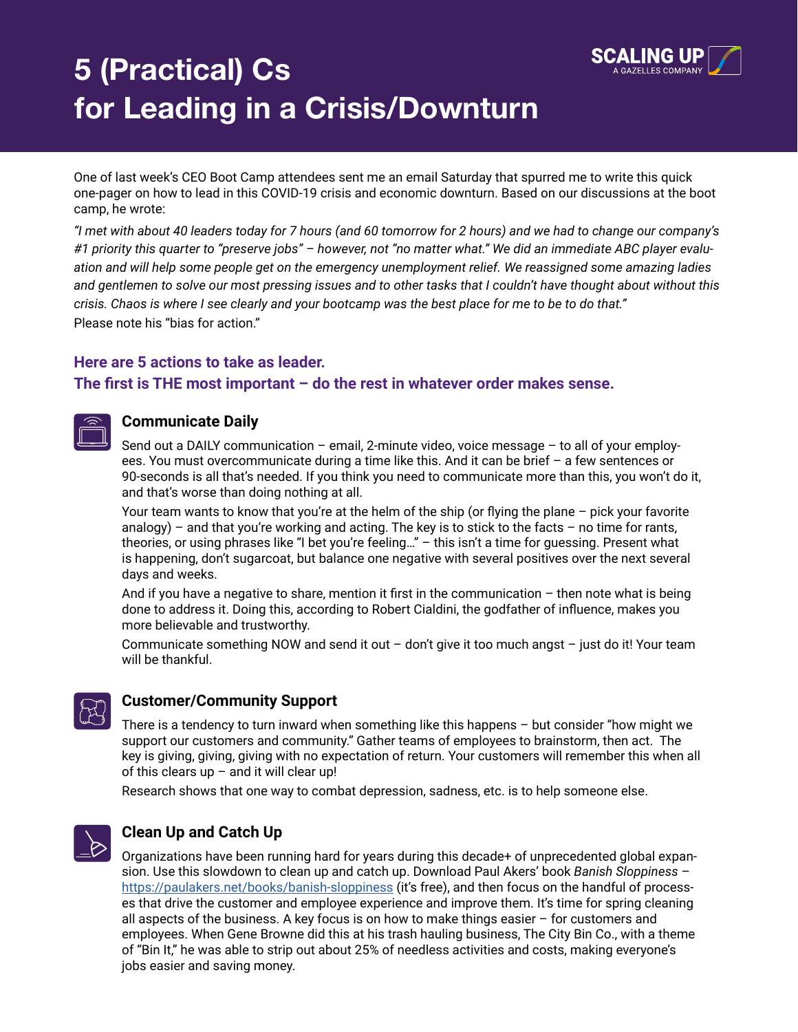

# **5 (Practical) Cs for Leading in a Crisis/Downturn**

One of last week's CEO Boot Camp attendees sent me an email Saturday that spurred me to write this quick one-pager on how to lead in this COVID-19 crisis and economic downturn. Based on our discussions at the boot camp, he wrote:

*"I met with about 40 leaders today for 7 hours (and 60 tomorrow for 2 hours) and we had to change our company's #1 priority this quarter to "preserve jobs" – however, not "no matter what." We did an immediate ABC player evaluation and will help some people get on the emergency unemployment relief. We reassigned some amazing ladies and gentlemen to solve our most pressing issues and to other tasks that I couldn't have thought about without this crisis. Chaos is where I see clearly and your bootcamp was the best place for me to be to do that."* Please note his "bias for action."

# **Here are 5 actions to take as leader.**

### **The first is THE most important – do the rest in whatever order makes sense.**

## **Communicate Daily**

Send out a DAILY communication – email, 2-minute video, voice message – to all of your employees. You must overcommunicate during a time like this. And it can be brief – a few sentences or 90-seconds is all that's needed. If you think you need to communicate more than this, you won't do it, and that's worse than doing nothing at all.

Your team wants to know that you're at the helm of the ship (or flying the plane – pick your favorite analogy) – and that you're working and acting. The key is to stick to the facts – no time for rants, theories, or using phrases like "I bet you're feeling…" – this isn't a time for guessing. Present what is happening, don't sugarcoat, but balance one negative with several positives over the next several days and weeks.

And if you have a negative to share, mention it first in the communication – then note what is being done to address it. Doing this, according to Robert Cialdini, the godfather of influence, makes you more believable and trustworthy.

Communicate something NOW and send it out – don't give it too much angst – just do it! Your team will be thankful.

# **Customer/Community Support**

There is a tendency to turn inward when something like this happens – but consider "how might we support our customers and community." Gather teams of employees to brainstorm, then act. The key is giving, giving, giving with no expectation of return. Your customers will remember this when all of this clears up  $-$  and it will clear up!

Research shows that one way to combat depression, sadness, etc. is to help someone else.



# **Clean Up and Catch Up**

Organizations have been running hard for years during this decade+ of unprecedented global expansion. Use this slowdown to clean up and catch up. Download Paul Akers' book *Banish Sloppiness* – <https://paulakers.net/books/banish-sloppiness>(it's free), and then focus on the handful of processes that drive the customer and employee experience and improve them. It's time for spring cleaning all aspects of the business. A key focus is on how to make things easier  $-$  for customers and employees. When Gene Browne did this at his trash hauling business, The City Bin Co., with a theme of "Bin It," he was able to strip out about 25% of needless activities and costs, making everyone's jobs easier and saving money.